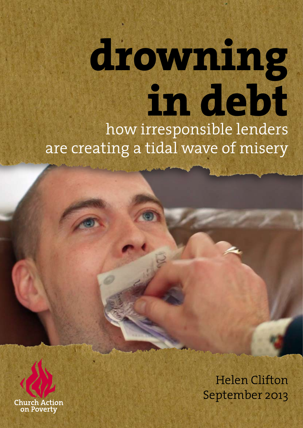# **drowning in debt** how irresponsible lenders are creating a tidal wave of misery



Helen Clifton September 2013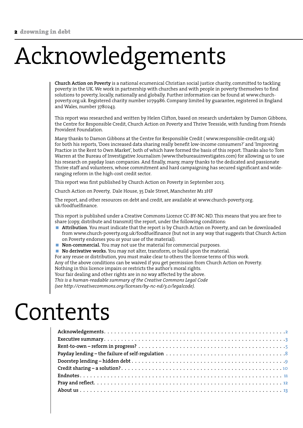# Acknowledgements

**Church Action on Poverty** is a national ecumenical Christian social justice charity, committed to tackling poverty in the UK. We work in partnership with churches and with people in poverty themselves to find solutions to poverty, locally, nationally and globally. Further information can be found at www.churchpoverty.org.uk. Registered charity number 1079986. Company limited by guarantee, registered in England and Wales, number 3780243.

This report was researched and written by Helen Clifton, based on research undertaken by Damon Gibbons, the Centre for Responsible Credit, Church Action on Poverty and Thrive Teesside, with funding from Friends Provident Foundation.

Many thanks to Damon Gibbons at the Centre for Responsible Credit ( www.responsible-credit.org.uk) for both his reports, 'Does increased data sharing really benefit low-income consumers?' and 'Improving Practice in the Rent to Own Market', both of which have formed the basis of this report. Thanks also to Tom Warren at the Bureau of Investigative Journalism (www.thebureauinvestigates.com) for allowing us to use his research on payday loan companies. And finally, many, many thanks to the dedicated and passionate Thrive staff and volunteers, whose commitment and hard campaigning has secured significant and wideranging reform in the high-cost credit sector.

This report was first published by Church Action on Poverty in September 2013.

Church Action on Poverty, Dale House, 35 Dale Street, Manchester M1 2HF

The report, and other resources on debt and credit, are available at www.church-poverty.org. uk/foodfuelfinance.

This report is published under a Creative Commons Licence CC-BY-NC-ND. This means that you are free to share (copy, distribute and transmit) the report, under the following conditions:

- **Attribution**. You must indicate that the report is by Church Action on Poverty, and can be downloaded from www.church-poverty.org.uk/foodfuelfinance (but not in any way that suggests that Church Action on Poverty endorses you or your use of the material).
- **Non-commercial.** You may not use the material for commercial purposes.

**No derivative works.** You may not alter, transform, or build upon the material.

For any reuse or distribution, you must make clear to others the license terms of this work.

Any of the above conditions can be waived if you get permission from Church Action on Poverty.

Nothing in this licence impairs or restricts the author's moral rights.

Your fair dealing and other rights are in no way affected by the above. *This is a human-readable summary of the Creative Commons Legal Code* 

*(see http://creativecommons.org/licenses/by-nc-nd/3.0/legalcode).*

### Contents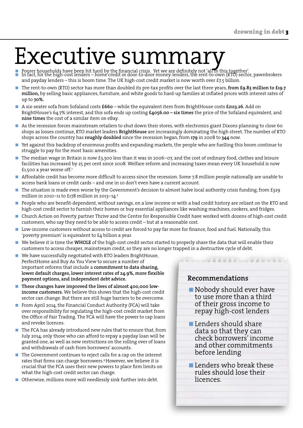### Executive summary

- Poorer households have been hit hard by the financial crisis. Yet we are definitely not 'all in this together'.<br>■ In fact, for the high-cost lenders home credit or door-to-door money-lenders, the rent-to-own (RTO) sec and payday lenders – this is boom time. The UK high-cost credit market is now worth over £7.5 billion.  $\overline{\phantom{a}}$
- The rent-to-own (RTO) sector has more than doubled its pre-tax profits over the last three years, **from £9.83 million to £19.7 million,** by selling basic appliances, furniture, and white goods to hard-up families at inflated prices with interest rates of up to **70%.**  $\sim$
- A six-seater sofa from Sofaland costs **£660** while the equivalent item from BrightHouse costs **£2113.26.** Add on BrightHouse's 64.7% interest, and this sofa ends up costing **£4056.00 – six times** the price of the Sofaland equivalent, and **nine times** the cost of a similar item on eBay.  $\sim$
- As the recession forces mainstream retailers to shut down their stores, with electronics giant Dixons planning to close 60 shops as losses continue, RTO market leaders **BrightHouse** are increasingly dominating the high street. The number of RTO shops across the country has **roughly doubled** since the recession began, from **179** in 2008 to **344** now.  $\mathcal{C}$
- Yet against this backdrop of enormous profits and expanding markets, the people who are fuelling this boom continue to struggle to pay for the most basic amenities. m.
- The median wage in Britain is now £3,300 less than it was in 2006–07, and the cost of ordinary food, clothes and leisure facilities has increased by 25 per cent since 2008. Welfare reform and increasing taxes mean every UK household is now £1,500 a year worse off.1  $\mathcal{C}$
- Affordable credit has become more difficult to access since the recession. Some 7.8 million people nationally are unable to access bank loans or credit cards – and one in 10 don't even have a current account.  $\mathcal{C}$
- The situation is made even worse by the Government's decision to almost halve local authority crisis funding, from £329 million in 2010–11 to £178 million in 2013–14.3 m.
- People who are benefit-dependent, without savings, on a low income or with a bad credit history are reliant on the RTO and high-cost credit sector to furnish their homes or buy essential appliances like washing machines, cookers, and fridges. m.
- Church Action on Poverty partner Thrive and the Centre for Responsible Credit have worked with dozens of high-cost credit customers, who say they need to be able to access credit – but at a reasonable cost. П
- Low-income customers without access to credit are forced to pay far more for finance, food and fuel. Nationally, this 'poverty premium' is equivalent to £4 billion a year.  $\mathcal{C}$
- We believe it is time the **WHOLE** of the high-cost credit sector started to properly share the data that will enable their customers to access cheaper, mainstream credit, so they are no longer trapped in a destructive cycle of debt.  $\mathcal{C}$
- We have successfully negotiated with RTO leaders BrightHouse, PerfectHome and Buy As You View to secure a number of important reforms that include a **commitment to data sharing, lower default charges, lower interest rates of 24.9%, more flexible payment options, and independent debt advice.**  $\mathcal{C}$
- **These changes have improved the lives of almost 400,000 lowincome customers.** We believe this shows that the high-cost credit sector can change. But there are still huge barriers to be overcome.  $\mathcal{C}$
- From April 2014, the Financial Conduct Authority (FCA) will take over responsibility for regulating the high-cost credit market from the Office of Fair Trading. The FCA will have the power to cap loans and revoke licences.
- The FCA has already introduced new rules that to ensure that, from July 2014, only those who can afford to repay a payday loan will be granted one, as well as new restrictions on the rolling over of loans and withdrawals of cash from borrowers' accounts. ×
- The Government continues to reject calls for a cap on the interest rates that firms can charge borrowers.4 However, we believe it is crucial that the FCA uses their new powers to place firm limits on what the high-cost credit sector can charge.  $\mathcal{C}$
- Otherwise, millions more will needlessly sink further into debt.

#### **Recommendations**

Nobody should ever have to use more than a third of their gross income to repay high-cost lenders

0000000000000000

- **Lenders should share** data so that they can check borrowers' income and other commitments before lending
- **Lenders who break these** rules should lose their licences.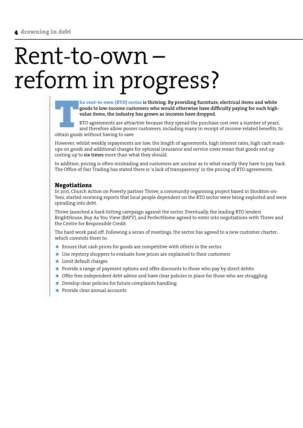### Rent-to-own – reform in progress?



RTO agreements are attractive because they spread the purchase cost over a number of years, and therefore allow poorer customers, including many in receipt of income-related benefits, to obtain goods without having to save.

However, whilst weekly repayments are low, the length of agreements, high interest rates, high cash markups on goods and additional charges for optional insurance and service cover mean that goods end up costing up to **six times** more than what they should.

In addition, pricing is often misleading and customers are unclear as to what exactly they have to pay back. The Office of Fair Trading has stated there is 'a lack of transparency' in the pricing of RTO agreements.

#### **Negotiations**

In 2011, Church Action on Poverty partner Thrive, a community organising project based in Stockton-on-Tees, started receiving reports that local people dependent on the RTO sector were being exploited and were spiralling into debt.

Thrive launched a hard-hitting campaign against the sector. Eventually, the leading RTO lenders BrightHouse, Buy As You View (BAYV), and PerfectHome agreed to enter into negotiations with Thrive and the Centre for Responsible Credit.

The hard work paid off. Following a series of meetings, the sector has agreed to a new customer charter, which commits them to:

- **Ensure that cash prices for goods are competitive with others in the sector**
- Use mystery shoppers to evaluate how prices are explained to their customers
- **Limit default charges**
- **Provide a range of payment options and offer discounts to those who pay by direct debits**
- Offer free independent debt advice and have clear policies in place for those who are struggling
- Develop clear policies for future complaints handling
- $\blacksquare$  Provide clear annual accounts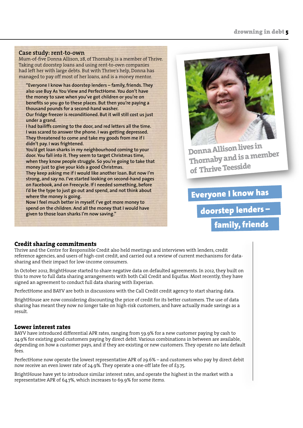#### **Case study: rent-to-own**

Mum-of-five Donna Allison, 28, of Thornaby, is a member of Thrive. Taking out doorstep loans and using rent-to-own companies had left her with large debts. But with Thrive's help, Donna has managed to pay off most of her loans, and is a money mentor.

**"Everyone I know has doorstep lenders – family, friends. They also use Buy As You View and PerfectHome. You don't have the money to save when you've got children or you're on benefits so you go to these places. But then you're paying a thousand pounds for a second-hand washer. Our fridge freezer is reconditioned. But it will still cost us just** 

**under a grand. I had bailiffs coming to the door, and red letters all the time. I was scared to answer the phone. I was getting depressed.** 

**They threatened to come and take my goods from me if I didn't pay. I was frightened.** 

**You'd get loan sharks in my neighbourhood coming to your door. You fall into it. They seem to target Christmas time, when they know people struggle. So you're going to take that money just to give your kids a good Christmas.** 

**They keep asking me if I would like another loan. But now I'm strong, and say no. I've started looking on second-hand pages on Facebook, and on Freecycle. If I needed something, before I'd be the type to just go out and spend, and not think about where the money is going.** 

**Now I feel much better in myself. I've got more money to spend on the children. And all the money that I would have given to those loan sharks I'm now saving."**



**Donna Allison lives in Thornaby and is a member of Thrive Teesside**

Everyone I know has

doorstep lenders –

### family, friends

#### **Credit sharing commitments**

Thrive and the Centre for Responsible Credit also held meetings and interviews with lenders, credit reference agencies, and users of high-cost credit, and carried out a review of current mechanisms for datasharing and their impact for low-income consumers.

In October 2012, BrightHouse started to share negative data on defaulted agreements. In 2012, they built on this to move to full data sharing arrangements with both Call Credit and Equifax. Most recently, they have signed an agreement to conduct full data sharing with Experian.

PerfectHome and BAYV are both in discussions with the Call Credit credit agency to start sharing data.

BrightHouse are now considering discounting the price of credit for its better customers. The use of data sharing has meant they now no longer take on high-risk customers, and have actually made savings as a result.

#### **Lower interest rates**

BAYV have introduced differential APR rates, ranging from 59.9% for a new customer paying by cash to 24.9% for existing good customers paying by direct debit. Various combinations in between are available, depending on how a customer pays, and if they are existing or new customers. They operate no late default fees.

PerfectHome now operate the lowest representative APR of 29.6% – and customers who pay by direct debit now receive an even lower rate of 24.9%. They operate a one-off late fee of £3.75.

BrightHouse have yet to introduce similar interest rates, and operate the highest in the market with a representative APR of 64.7%, which increases to 69.9% for some items.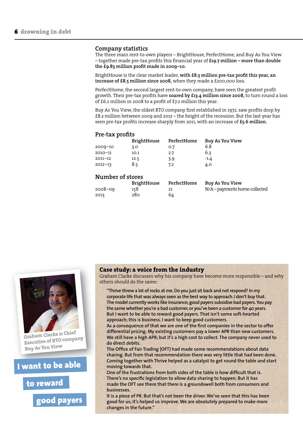#### **Company statistics**

The three main rent-to-own players – BrightHouse, PerfectHome, and Buy As You View – together made pre-tax profits this financial year of **£19.7 million – more than double the £9.83 million profit made in 2009–10.**

BrightHouse is the clear market leader, **with £8.3 million pre-tax profit this year, an increase of £8.5 million since 2008,** when they made a £200,000 loss.

PerfectHome, the second largest rent-to-own company, have seen the greatest profit growth. Their pre-tax profits have **soared by £13.4 million since 2008,** to turn round a loss of £6.2 million in 2008 to a profit of £7.2 million this year.

Buy As You View, the oldest RTO company first established in 1972, saw profits drop by £8.2 million between 2009 and 2012 – the height of the recession. But the last year has seen pre-tax profits increase sharply from 2011, with an increase of **£5.6 million.**

#### **Pre-tax profits**

|             | <b>BrightHouse</b> | PerfectHome | Buy As You View |
|-------------|--------------------|-------------|-----------------|
| $2009 - 10$ | 3.0                | 0.7         | 6.8             |
| $2010 - 11$ | 10.1               | 2.7         | 6.3             |
| $2011 - 12$ | 12.5               | 3.9         | $-1.4$          |
| $2012 - 13$ | 8.3                | 7.2         | 4.0             |

#### **Number of stores**

|         | <b>BrightHouse</b> | PerfectHome | Buy As You View             |
|---------|--------------------|-------------|-----------------------------|
| 2008–09 | 158                | 21          | N/A-payments home-collected |
| 2013    | 280                | 64          |                             |



**Graham Clarke is Chief Executive of RTO company Buy As You View**

I want to be able

to reward

good payers

#### **Case study: a voice from the industry**

Graham Clarke discusses why his company have become more responsible – and why others should do the same:

**"Thrive threw a lot of rocks at me. Do you just sit back and not respond? In my corporate life that was always seen as the best way to approach. I don't buy that. The model currently works like insurance; good payers subsidise bad payers. You pay the same whether you're a bad customer, or you've been a customer for 40 years. But I want to be able to reward good payers. That isn't some soft-hearted approach; this is business. I want to keep good customers.** 

**As a consequence of that we are one of the first companies in the sector to offer differential pricing. My existing customers pay a lower APR than new customers. We still have a high APR; but it's a high cost to collect. The company never used to do direct debits.** 

**The Office of Fair Trading (OFT) had made some recommendations about data sharing. But from that recommendation there was very little that had been done. Coming together with Thrive helped as a catalyst to get round the table and start moving towards that.**

**One of the frustrations from both sides of the table is how difficult that is. There's no specific legislation to allow data sharing to happen. But it has made the OFT see there that there is a groundswell both from consumers and businesses.** 

**It is a piece of PR. But that's not been the driver. We've seen that this has been good for us; it's helped us improve. We are absolutely prepared to make more changes in the future."**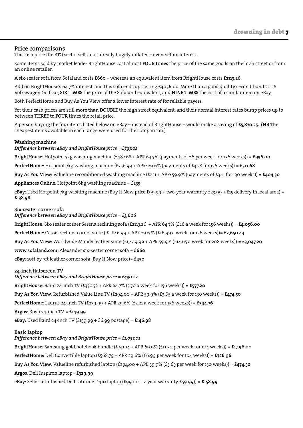#### **Price comparisons**

The cash price the RTO sector sells at is already hugely inflated – even before interest.

Some items sold by market leader BrightHouse cost almost **FOUR times** the price of the same goods on the high street or from an online retailer.

A six-seater sofa from Sofaland costs **£660** – whereas an equivalent item from BrightHouse costs **£2113.26.**

Add on BrightHouse's 64.7% interest, and this sofa ends up costing **£4056.00**. More than a good quality second-hand 2006 Volkswagen Golf car, **SIX TIMES** the price of the Sofaland equivalent, and **NINE TIMES** the cost of a similar item on eBay.

Both PerfectHome and Buy As You View offer a lower interest rate of for reliable payers.

Yet their cash prices are still **more than DOUBLE** the high street equivalent, and their normal interest rates bump prices up to between **THREE to FOUR** times the retail price.

A person buying the four items listed below on eBay – instead of BrightHouse – would make a saving of **£5,870.25. (NB** The cheapest items available in each range were used for the comparison.)

#### **Washing machine**

#### *Difference between eBay and BrightHouse price = £797.02*

**BrightHouse:** Hotpoint 7kg washing machine (£487.68 + APR 64.7% (payments of £6 per week for 156 weeks)) = **£936.00**

**PerfectHome:** Hotpoint 7kg washing machine (£356.99 + APR: 29.6% (payments of £3.28 for 156 weeks)) = **£511.68**

**Buy As You View:** Valueline reconditioned washing machine  $(f251 + APR: 59.9\%$  (payments of £3.11 for 130 weeks)) =  $f404.30$ 

**Appliances Online:** Hotpoint 6kg washing machine = **£235**

**eBay:** Used Hotpoint 7kg washing machine (Buy It Now price £99.99 + two-year warranty £23.99 + £15 delivery in local area) = **£138.98**

#### **Six-seater corner sofa**

#### *Difference between eBay and BrightHouse price = £3,606*

**BrightHouse:** Six-seater corner Serena reclining sofa (£2113.26 + APR 64.7% (£26 a week for 156 weeks)) = **£4,056.00 PerfectHome:** Cassis recliner corner suite ( £1,846.99 + APR 29.6 % (£16.99 a week for 156 weeks))= **£2,650.44 Buy As You View:** Worldwide Mandy leather suite (£1,449.99 + APR 59.9% (£14.65 a week for 208 weeks)) = **£3,047.20 www.sofaland.com:** Alexander six-seater corner sofa = **£660 eBay:** 10ft by 7ft leather corner sofa (Buy It Now price)= **£450**

#### **24-inch flatscreen TV**

#### *Difference between eBay and BrightHouse price = £430.22*

**BrightHouse:** Baird 24-inch TV (£330.73 + APR 64.7% (3.70 a week for 156 weeks)) = **£577.20**

**Buy As You View:** Refurbished Value Line TV (£294.00 + APR 59.9% (£3.65 a week for 130 weeks)) = **£474.50**

**PerfectHome:** Laurus 24-inch TV (£239.99 + APR 29.6% (£2.21 a week for 156 weeks)) = **£344.76**

**Argos:** Bush 24-inch TV = **£149.99**

**eBay:** Used Baird 24-inch TV (£139.99 + £6.99 postage) = **£146.98**

#### **Basic laptop**

#### *Difference between eBay and BrightHouse price = £1,037.01*

**BrightHouse:** Samsung gold notebook bundle (£741.14 + APR 69.9% (£11.50 per week for 104 weeks)) = **£1,196.00 PerfectHome:** Dell Convertible laptop (£568.79 + APR 29.6% (£6.99 per week for 104 weeks)) = **£726.96**

**Buy As You View:** Valueline refurbished laptop (£294.00 + APR 59.9% (£3.65 per week for 130 weeks)) = **£474.50**

#### **Argos:** Dell Inspiron laptop= **£329.99**

**eBay:** Seller refurbished Dell Latitude D410 laptop (£99.00 + 2-year warranty £59.99)) = **£158.99**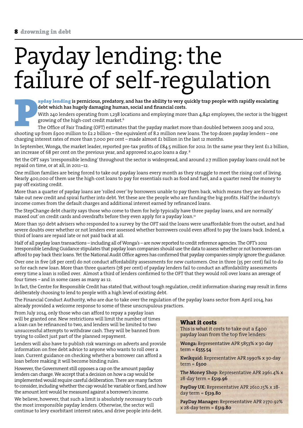### Payday lending: the failure of self-regulation

**debt which has hugely damaging human, social and financial costs.**

With 240 lenders operating from 1,238 locations and employing more than 4,842 employees, the sector is the biggest growing of the high-cost credit market.6

**ayday lending** is pernicious, predatory, and has the ability to very quickly trap people with rapidly escalating debt which has hugely damaging human, social and financial costs.<br>With 240 lenders operating from 1,238 loca The Office of Fair Trading (OFT) estimates that the payday market more than doubled between 2009 and 2012, shooting up from £900 million to £2.2 billion – the equivalent of 8.2 million new loans. The top dozen payday lenders – one charging interest rates of more than 7,000 per cent – made almost £1 billion in the last 12 months.

In September, Wonga, the market leader, reported pre-tax profits of £84.5 million for 2012. In the same year they lent £1.2 billion, an increase of 68 per cent on the previous year, and approved 10,400 loans a day. 8

Yet the OFT says 'irresponsible lending' throughout the sector is widespread, and around 2.7 million payday loans could not be repaid on time, or at all, in 2011–12.

One million families are being forced to take out payday loans every month as they struggle to meet the rising cost of living. Nearly 400,000 of them use the high-cost loans to pay for essentials such as food and fuel, and a quarter need the money to pay off existing credit.

More than a quarter of payday loans are 'rolled over' by borrowers unable to pay them back, which means they are forced to take out new credit and spiral further into debt. Yet these are the people who are funding the big profits. Half the industry's income comes from the default charges and additional interest earned by refinanced loans.

The StepChange debt charity says those who come to them for help typically have three payday loans, and are normally' maxed out' on credit cards and overdrafts before they even apply for a payday loan.<sup>12</sup>

More than 150 debt advisers who responded to a survey by the OFT said the loans were unaffordable from the outset, and had severe doubts over whether or not lenders ever assessed whether borrowers could even afford to pay the loans back. Indeed, a third of loans are repaid late or not paid back at all.

Half of all payday loan transactions – including all of Wonga's – are now reported to credit reference agencies. The OFT's 2012 Irresponsible Lending Guidance stipulates that payday loan companies should use the data to assess whether or not borrowers can afford to pay back their loans. Yet the National Audit Office agrees has confirmed that payday companies simply ignore the guidance.

Over one in five (28 per cent) do not conduct affordability assessments for new customers. One in three (35 per cent) fail to do so for each new loan. More than three quarters (78 per cent) of payday lenders fail to conduct an affordability assessments every time a loan is rolled over. Almost a third of lenders confirmed to the OFT that they would roll over loans an average of four times – and in some cases as many as 12.

In fact, the Centre for Responsible Credit has stated that, without tough regulation, credit information sharing may result in firms deliberately choosing to lend to people with a high level of existing debt.

The Financial Conduct Authority, who are due to take over the regulation of the payday loans sector from April 2014, has already provided a welcome response to some of these unscrupulous practices.

From July 2014, only those who can afford to repay a payday loan will be granted one. New restrictions will limit the number of times a loan can be refinanced to two, and lenders will be limited to two unsuccessful attempts to withdraw cash. They will be banned from trying to collect just part of the planned repayment.

Lenders will also have to publish risk warnings on adverts and provide information on free debt advice to anyone who wants to roll over a loan. Current guidance on checking whether a borrower can afford a loan before making it will become binding rules.

However, the Government still opposes a cap on the amount payday lenders can charge. We accept that a decision on how a cap would be implemented would require careful deliberation. There are many factors to consider, including whether the cap would be variable or fixed, and how the amount lent would be measured against a borrower's income.

We believe, however, that such a limit is absolutely necessary to curb the most irresponsible payday lenders. Otherwise, the sector will continue to levy exorbitant interest rates, and drive people into debt.

#### **What it costs**

This is what it costs to take out a £400 payday loan from the top five lenders*:*

**Wonga:** Representative APR 5853% x 30 day term *=* **£555.54** 

**Kwikquid:** Representative APR 1990% x 30-day term = **£500**

**The Money Shop:** Representative APR 2961.4% x 28-day term = **£519.96**

**PayDay UK:** Representative APR 2610.15% x 28 day term = **£519.80**

**PayDay Manager:** Representative APR 2370.92% x 28-day term = **£519.80**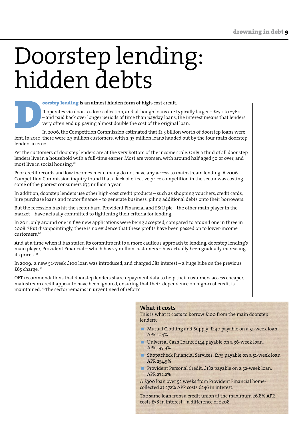### Doorstep lending: hidden debts

**Foorstep lending is an almost hidden form of high-cost credit.**<br>
It operates via door-to-door collection, and although loans are the and paid back over longer periods of time than payday loans,<br>
very often end up paying a It operates via door-to-door collection, and although loans are typically larger – £250 to £760 – and paid back over longer periods of time than payday loans, the interest means that lenders very often end up paying almost double the cost of the original loan.

In 2006, the Competition Commission estimated that £1.3 billion worth of doorstep loans were lent. In 2010, there were 2.3 million customers, with 2.93 million loans handed out by the four main doorstep lenders in 2012.

Yet the customers of doorstep lenders are at the very bottom of the income scale. Only a third of all door step lenders live in a household with a full-time earner. Most are women, with around half aged 50 or over, and most live in social housing.18

Poor credit records and low incomes mean many do not have any access to mainstream lending. A 2006 Competition Commission inquiry found that a lack of effective price competition in the sector was costing some of the poorest consumers £75 million a year.

In addition, doorstep lenders use other high-cost credit products – such as shopping vouchers, credit cards, hire purchase loans and motor finance – to generate business, piling additional debts onto their borrowers.

But the recession has hit the sector hard. Provident Financial and S&U plc – the other main player in the market – have actually committed to tightening their criteria for lending.

In 2011, only around one in five new applications were being accepted, compared to around one in three in 2008.19 But disappointingly, there is no evidence that these profits have been passed on to lower-income customers.<sup>20</sup>

And at a time when it has stated its commitment to a more cautious approach to lending, doorstep lending's main player, Provident Financial – which has 2.7 million customers – has actually been gradually increasing its prices. 21

In 2009, a new 52-week £100 loan was introduced, and charged £82 interest – a huge hike on the previous £65 charge.<sup>22</sup>

OFT recommendations that doorstep lenders share repayment data to help their customers access cheaper, mainstream credit appear to have been ignored, ensuring that their dependence on high-cost credit is maintained. 23 The sector remains in urgent need of reform.

#### **What it costs**

This is what it costs to borrow £100 from the main doorstep lenders:

- **Mutual Clothing and Supply: £140 payable on a 51-week loan.** APR 104%
- Universal Cash Loans: £144 payable on a 36-week loan. APR 197.9%
- **Shopacheck Financial Services: £175 payable on a 51-week loan.** APR 254.5%
- **Provident Personal Credit: £182 payable on a 52-week loan.** APR 272.2%

A £300 loan over 52 weeks from Provident Financial homecollected at 272% APR costs £246 in interest.

The same loan from a credit union at the maximum 26.8% APR costs £38 in interest – a difference of £208.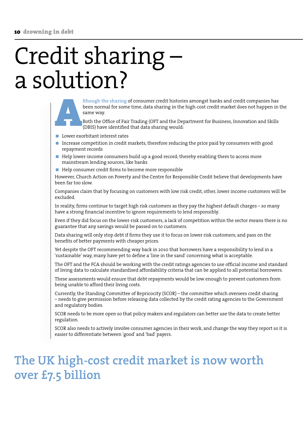### Credit sharing – a solution?

**Example 18 Seen normal for some time**, data sharing in the high-cost credit market does not happen in same way.<br>Both the Office of Fair Trading (OFT and the Department for Business, Innovation and Skills (DBIS) have ident been normal for some time, data sharing in the high-cost credit market does not happen in the same way.

Both the Office of Fair Trading (OFT and the Department for Business, Innovation and Skills (DBIS) have identified that data sharing would:

- **Lower exorbitant interest rates**
- Increase competition in credit markets, therefore reducing the price paid by consumers with good repayment records
- Help lower-income consumers build up a good record; thereby enabling them to access more mainstream lending sources, like banks
- Help consumer credit firms to become more responsible

However, Church Action on Poverty and the Centre for Responsible Credit believe that developments have been far too slow.

Companies claim that by focusing on customers with low risk credit, other, lower income customers will be excluded.

In reality, firms continue to target high risk customers as they pay the highest default charges – so many have a strong financial incentive to ignore requirements to lend responsibly.

Even if they did focus on the lower-risk customers, a lack of competition within the sector means there is no guarantee that any savings would be passed on to customers.

Data sharing will only stop debt if firms they use it to focus on lower risk customers; and pass on the benefits of better payments with cheaper prices.

Yet despite the OFT recommending way back in 2010 that borrowers have a responsibility to lend in a 'sustainable' way, many have yet to define a 'line in the sand' concerning what is acceptable.

The OFT and the FCA should be working with the credit ratings agencies to use official income and standard of living data to calculate standardised affordability criteria that can be applied to all potential borrowers.

These assessments would ensure that debt repayments would be low enough to prevent customers from being unable to afford their living costs.

Currently, the Standing Committee of Repricocity (SCOR) – the committee which oversees credit sharing – needs to give permission before releasing data collected by the credit rating agencies to the Government and regulatory bodies.

SCOR needs to be more open so that policy makers and regulators can better use the data to create better regulation.

SCOR also needs to actively involve consumer agencies in their work, and change the way they report so it is easier to differentiate between 'good' and 'bad' payers.

### **The UK high-cost credit market is now worth over £7.5 billion**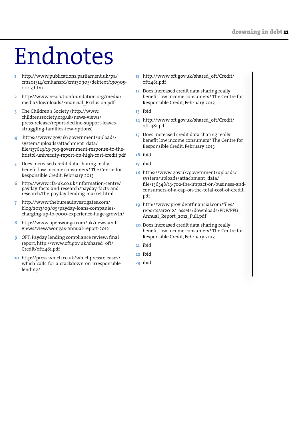## Endnotes

- http://www.publications.parliament.uk/pa/ cm201314/cmhansrd/cm130905/debtext/130905- 0003.htm **1�**
- http://www.resolutionfoundation.org/media/ media/downloads/Financial\_Exclusion.pdf **2�**
- The Children's Society (http://www. childrenssociety.org.uk/news-views/ press-release/report-decline-support-leavesstruggling-families-few-options) **3�**
- https://www.gov.uk/government/uploads/ system/uploads/attachment\_data/ file/137623/13-703-government-response-to-thebristol-university-report-on-high-cost-credit.pdf **4�**
- Does increased credit data sharing really benefit low income consumers? The Centre for Responsible Credit, February 2013 **5�**
- http://www.cfa-uk.co.uk/information-centre/ payday-facts-and-research/payday-facts-andresearch/the-payday-lending-market.html **6�**
- http://www.thebureauinvestigates.com/ **7�** blog/2013/09/05/payday-loans-companiescharging-up-to-7000-experience-huge-growth/
- http://www.openwonga.com/uk/news-andviews/view/wongas-annual-report-2012 **8�**
- OFT, Payday lending compliance review: final report, http://www.oft.gov.uk/shared\_oft/ Credit/oft1481.pdf **9�**
- http://press.which.co.uk/whichpressreleases/ **10�** which-calls-for-a-crackdown-on-irresponsiblelending/
- http://www.oft.gov.uk/shared\_oft/Credit/ **11�** oft1481.pdf
- Does increased credit data sharing really **12�** benefit low income consumers? The Centre for Responsible Credit, February 2013
- ibid **13�**
- http://www.oft.gov.uk/shared\_oft/Credit/ **14�** oft1481.pdf
- Does increased credit data sharing really **15�** benefit low income consumers? The Centre for Responsible Credit, February 2013
- ibid **16�**
- ibid **17�**
- https://www.gov.uk/government/uploads/ **18�** system/uploads/attachment\_data/ file/136548/13-702-the-impact-on-business-andconsumers-of-a-cap-on-the-total-cost-of-credit. pdf
- http://www.providentfinancial.com/files/ **19�** reports/ar2012/\_assets/downloads/PDF/PFG\_ Annual\_Report\_2012\_Full.pdf
- Does increased credit data sharing really **20�** benefit low income consumers? The Centre for Responsible Credit, February 2013
- ibid **21�**
- ibid **22�**
- ibid **23�**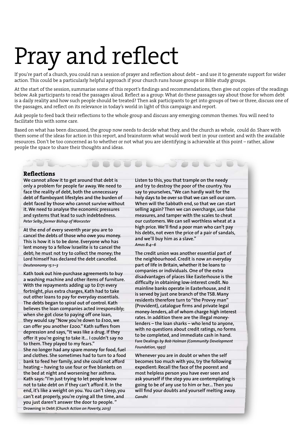## Pray and reflect

If you're part of a church, you could run a session of prayer and reflection about debt – and use it to generate support for wider action. This could be a particularly helpful approach if your church runs house groups or Bible study groups.

At the start of the session, summarise some of this report's findings and recommendations, then give out copies of the readings below. Ask participants to read the passages aloud. Reflect as a group: What do these passages say about those for whom debt is a daily reality and how such people should be treated? Then ask participants to get into groups of two or three, discuss one of the passages, and reflect on its relevance in today's world in light of this campaign and report.

Ask people to feed back their reflections to the whole group and discuss any emerging common themes. You will need to facilitate this with some care.

Based on what has been discussed, the group now needs to decide what they, and the church as whole, could do. Share with them some of the ideas for action in this report, and brainstorm what would work best in your context and with the available resources. Don't be too concerned as to whether or not what you are identifying is achievable at this point – rather, allow people the space to share their thoughts and ideas.

#### **Reflections**

**We cannot allow it to get around that debt is only a problem for people far away. We need to face the reality of debt, both the unnecessary debt of flamboyant lifestyles and the burden of debt faced by those who cannot survive without it. We need to analyse the economic pressures and systems that lead to such indebtedness.**  *Peter Selby, former Bishop of Worcester*

**At the end of every seventh year you are to cancel the debts of those who owe you money. This is how it is to be done. Everyone who has lent money to a fellow lsraelite is to cancel the debt; he must not try to collect the money; the Lord himself has declared the debt cancelled.** *Deuteronomy 15:1–3*

**Kath took out hire-purchase agreements to buy a washing machine and other items of furniture. With the repayments adding up to £171 every fortnight, plus extra charges, Kath had to take out other loans to pay for everyday essentials. The debts began to spiral out of control. Kath believes the loan companies acted irresponsibly; when she got close to paying off one loan, they would say "Now you're down to £100, we can offer you another £200." Kath suffers from depression and says, "It was like a drug. If they offer it you're going to take it... I couldn't say no to them. They played to my fears."** 

**She no longer had any spare money for food, fuel and clothes. She sometimes had to turn to a food bank to feed her family, and she could not afford heating – having to use four or five blankets on the bed at night and worsening her asthma. Kath says: "I'm just trying to let people know not to take debt on if they can't afford it. In the end, it's like a weight on you. You can't sleep, you can't eat properly, you're crying all the time, and you just daren't answer the door to people. " Drowning in Debt** *(Church Action on Poverty, 2013)*

**Listen to this, you that trample on the needy and try to destroy the poor of the country. You say to yourselves, "We can hardly wait for the holy days to be over so that we can sell our corn. When will the Sabbath end, so that we can start selling again? Then we can overcharge, use false measures, and tamper with the scales to cheat our customers. We can sell worthless wheat at a high price. We'll find a poor man who can't pay his debts, not even the price of a pair of sandals, and we'll buy him as a slave."**  *Amos 8:4–6*

**The credit union was another essential part of the neighbourhood. Credit is now an everyday part of life in Britain, whether it be loans to companies or individuals. One of the extra disadvantages of places like Easterhouse is the difficulty in obtaining low-interest credit. No mainline banks operate in Easterhouse, and it is served by just one branch of the TSB. Many residents therefore turn to "the Provvy man" (Provident), catalogue firms and private legal money-lenders, all of whom charge high interest rates. In addition there are the illegal moneylenders – the loan sharks – who lend to anyone, with no questions about credit ratings, no forms to be completed, and immediate cash in hand. Fare Dealings** *by Bob Holman (Community Development Foundation, 1997)*

**Whenever you are in doubt or when the self becomes too much with you, try the following expedient: Recall the face of the poorest and most helpless person you have ever seen and ask yourself if the step you are contemplating is going to be of any use to him or her... Then you will find your doubts and yourself melting away.**  *Gandhi*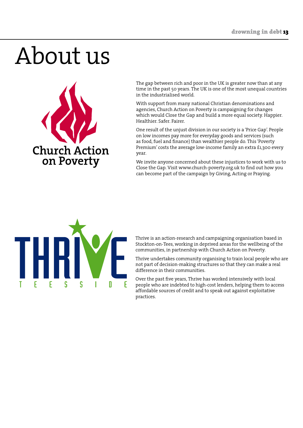## About us

**Church Action** on Poverty

The gap between rich and poor in the UK is greater now than at any time in the past 50 years. The UK is one of the most unequal countries in the industrialised world.

With support from many national Christian denominations and agencies, Church Action on Poverty is campaigning for changes which would Close the Gap and build a more equal society. Happier. Healthier. Safer. Fairer.

One result of the unjust division in our society is a 'Price Gap'. People on low incomes pay more for everyday goods and services (such as food, fuel and finance) than wealthier people do. This 'Poverty Premium' costs the average low-income family an extra £1,300 every year.

We invite anyone concerned about these injustices to work with us to Close the Gap. Visit www.church-poverty.org.uk to find out how you can become part of the campaign by Giving, Acting or Praying.



Thrive is an action-research and campaigning organisation based in Stockton-on-Tees, working in deprived areas for the wellbeing of the communities, in partnership with Church Action on Poverty.

Thrive undertakes community organising to train local people who are not part of decision-making structures so that they can make a real difference in their communities.

Over the past five years, Thrive has worked intensively with local people who are indebted to high-cost lenders, helping them to access affordable sources of credit and to speak out against exploitative practices.